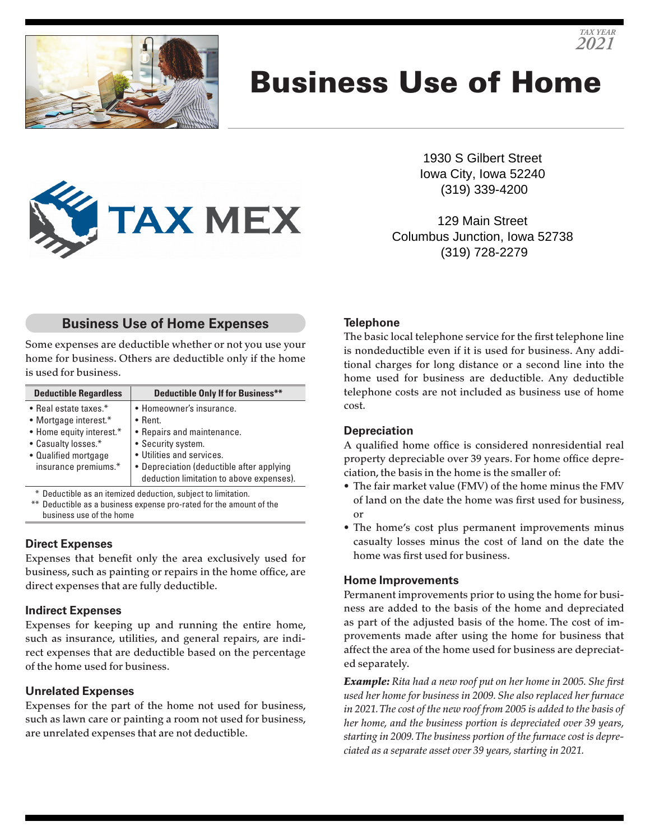

# Business Use of Home



1930 S Gilbert Street Iowa City, Iowa 52240 (319) 339-4200

*TAX YEAR 2021*

129 Main Street Columbus Junction, Iowa 52738 (319) 728-2279

# **Business Use of Home Expenses**

Some expenses are deductible whether or not you use your home for business. Others are deductible only if the home is used for business.

| <b>Deductible Regardless</b>                                               | <b>Deductible Only If for Business**</b>                                                                                                 |
|----------------------------------------------------------------------------|------------------------------------------------------------------------------------------------------------------------------------------|
| • Real estate taxes.*<br>• Mortgage interest.*<br>• Home equity interest.* | • Homeowner's insurance.<br>$\bullet$ Rent.<br>• Repairs and maintenance.                                                                |
| • Casualty losses.*<br>• Qualified mortgage<br>insurance premiums.*        | • Security system.<br>• Utilities and services.<br>• Depreciation (deductible after applying<br>deduction limitation to above expenses). |

\* Deductible as an itemized deduction, subject to limitation.

\*\* Deductible as a business expense pro-rated for the amount of the business use of the home

#### **Direct Expenses**

Expenses that benefit only the area exclusively used for business, such as painting or repairs in the home office, are direct expenses that are fully deductible.

#### **Indirect Expenses**

Expenses for keeping up and running the entire home, such as insurance, utilities, and general repairs, are indirect expenses that are deductible based on the percentage of the home used for business.

# **Unrelated Expenses**

Expenses for the part of the home not used for business, such as lawn care or painting a room not used for business, are unrelated expenses that are not deductible.

# **Telephone**

The basic local telephone service for the first telephone line is nondeductible even if it is used for business. Any additional charges for long distance or a second line into the home used for business are deductible. Any deductible telephone costs are not included as business use of home cost.

# **Depreciation**

A qualified home office is considered nonresidential real property depreciable over 39 years. For home office depreciation, the basis in the home is the smaller of:

- The fair market value (FMV) of the home minus the FMV of land on the date the home was first used for business, or
- The home's cost plus permanent improvements minus casualty losses minus the cost of land on the date the home was first used for business.

#### **Home Improvements**

Permanent improvements prior to using the home for business are added to the basis of the home and depreciated as part of the adjusted basis of the home. The cost of improvements made after using the home for business that affect the area of the home used for business are depreciated separately.

*Example: Rita had a new roof put on her home in 2005. She first used her home for business in 2009. She also replaced her furnace in 2021. The cost of the new roof from 2005 is added to the basis of her home, and the business portion is depreciated over 39 years, starting in 2009. The business portion of the furnace cost is depreciated as a separate asset over 39 years, starting in 2021.*